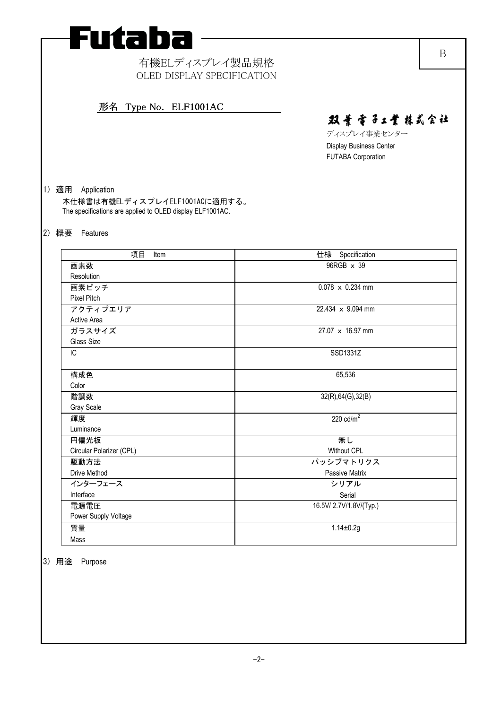

# 有機ELディスプレイ製品規格 OLED DISPLAY SPECIFICATION

# 形名 Type No. ELF1001AC 形名 Type No. ELF1001AC

双景雪子工業株式会社

B

ディスプレイ事業センター Display Business Center FUTABA Corporation

# 1) 適用 Application

本仕様書は有機ELディスプレイELF1001ACに適用する。 The specifications are applied to OLED display ELF1001AC.

### 2) 概要 Features

| 項目<br>Item               | 仕様 Specification         |
|--------------------------|--------------------------|
| 画素数                      | 96RGB x 39               |
| Resolution               |                          |
| 画素ピッチ                    | $0.078 \times 0.234$ mm  |
| <b>Pixel Pitch</b>       |                          |
| アクティブエリア                 | $22.434 \times 9.094$ mm |
| <b>Active Area</b>       |                          |
| ガラスサイズ                   | 27.07 x 16.97 mm         |
| Glass Size               |                          |
| IC                       | SSD1331Z                 |
|                          |                          |
| 構成色                      | 65,536                   |
| Color                    |                          |
| 階調数                      | 32(R), 64(G), 32(B)      |
| Gray Scale               |                          |
| 輝度                       | 220 $cd/m2$              |
| Luminance                |                          |
| 円偏光板                     | 無し                       |
| Circular Polarizer (CPL) | <b>Without CPL</b>       |
| 駆動方法                     | パッシブマトリクス                |
| Drive Method             | Passive Matrix           |
| インターフェース                 | シリアル                     |
| Interface                | Serial                   |
| 電源電圧                     | 16.5V/ 2.7V/1.8V/(Typ.)  |
| Power Supply Voltage     |                          |
| 質量                       | $1.14 \pm 0.2g$          |
| Mass                     |                          |

3) 用途 Purpose

-2-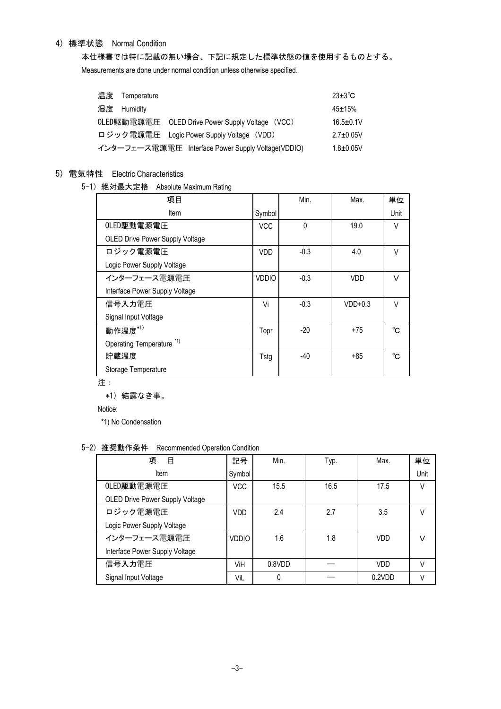# 4) 標準状態 Normal Condition

本仕様書では特に記載の無い場合、下記に規定した標準状態の値を使用するものとする。 Measurements are done under normal condition unless otherwise specified.

| 温度 Temperature |                                                    | $23\pm3\degree$ C |
|----------------|----------------------------------------------------|-------------------|
| 湿度 Humidity    |                                                    | $45 \pm 15%$      |
|                | OLED駆動電源電圧 OLED Drive Power Supply Voltage (VCC)   | $16.5 \pm 0.1V$   |
|                | ロジック電源電圧 Logic Power Supply Voltage (VDD)          | $2.7 \pm 0.05$ V  |
|                | インターフェース電源電圧 Interface Power Supply Voltage(VDDIO) | $1.8 + 0.05V$     |

# 5) 電気特性 Electric Characteristics

5-1) 絶対最大定格 Absolute Maximum Rating

| 項目                                     |              | Min.     | Max.       | 単位     |
|----------------------------------------|--------------|----------|------------|--------|
| Item                                   | Symbol       |          |            | Unit   |
| OLED駆動電源電圧                             | <b>VCC</b>   | $\Omega$ | 19.0       | V      |
| <b>OLED Drive Power Supply Voltage</b> |              |          |            |        |
| ロジック電源電圧                               | <b>VDD</b>   | $-0.3$   | 4.0        | V      |
| Logic Power Supply Voltage             |              |          |            |        |
| インターフェース電源電圧                           | <b>VDDIO</b> | $-0.3$   | <b>VDD</b> | $\vee$ |
| Interface Power Supply Voltage         |              |          |            |        |
| 信号入力電圧                                 | Vi           | $-0.3$   | $VDD+0.3$  | V      |
| Signal Input Voltage                   |              |          |            |        |
| 動作温度 $*$ <sup>1)</sup>                 | Topr         | $-20$    | $+75$      | °C.    |
| Operating Temperature <sup>*1)</sup>   |              |          |            |        |
| 貯蔵温度                                   | Tstg         | $-40$    | $+85$      | °C.    |
| Storage Temperature                    |              |          |            |        |

注:

\*1) 結露なき事。

Notice:

\*1) No Condensation

# 5-2) 推奨動作条件 Recommended Operation Condition

| 項<br>目                          | 記号           | Min.   | Typ. | Max.       | 単位     |
|---------------------------------|--------------|--------|------|------------|--------|
| Item                            | Symbol       |        |      |            | Unit   |
| OLED駆動電源電圧                      | <b>VCC</b>   | 15.5   | 16.5 | 17.5       | V      |
| OLED Drive Power Supply Voltage |              |        |      |            |        |
| ロジック電源電圧                        | VDD          | 2.4    | 2.7  | 3.5        | $\vee$ |
| Logic Power Supply Voltage      |              |        |      |            |        |
| インターフェース電源電圧                    | <b>VDDIO</b> | 1.6    | 1.8  | <b>VDD</b> | $\vee$ |
| Interface Power Supply Voltage  |              |        |      |            |        |
| 信号入力電圧                          | ViH          | 0.8VDD |      | <b>VDD</b> | $\vee$ |
| Signal Input Voltage            | ViL          | 0      |      | 0.2VDD     | V      |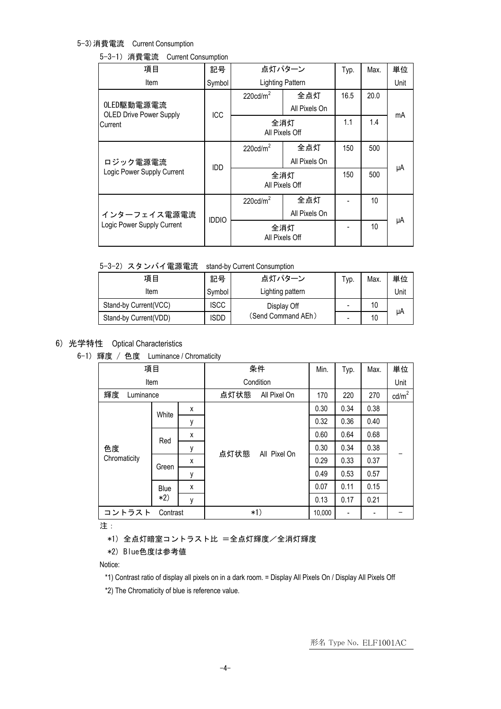## 5-3)消費電流 Current Consumption

### 5-3-1)消費電流 Current Consumption

| 項目                                           | 記号           |                         | 点灯パターン        | Typ. | Max. | 単位   |
|----------------------------------------------|--------------|-------------------------|---------------|------|------|------|
| Item                                         | Symbol       | <b>Lighting Pattern</b> |               |      |      | Unit |
|                                              |              | $220 \text{cd/m}^2$     | 全点灯           | 16.5 | 20.0 |      |
| OLED駆動電源電流<br><b>OLED Drive Power Supply</b> | ICC          |                         | All Pixels On |      |      | mA   |
| Current                                      |              | 全消灯                     |               | 1.1  | 1.4  |      |
|                                              |              | All Pixels Off          |               |      |      |      |
| ロジック電源電流                                     | IDD          | $220 \text{cd/m}^2$     | 全点灯           | 150  | 500  |      |
|                                              |              |                         | All Pixels On |      |      |      |
| Logic Power Supply Current                   |              | 全消灯                     |               |      | 500  | μA   |
|                                              |              | All Pixels Off          |               |      |      |      |
|                                              |              | $220 \text{cd/m}^2$     | 全点灯           |      | 10   |      |
| インターフェイス電源電流                                 | <b>IDDIO</b> |                         | All Pixels On |      |      |      |
| Logic Power Supply Current                   |              | 全消灯                     |               | 10   | μA   |      |
|                                              |              | All Pixels Off          |               |      |      |      |

5-3-2) スタンバイ電源電流 stand-by Current Consumption

| 項目                    | 記号          | 点灯パターン             | Typ. | Max | 単位   |
|-----------------------|-------------|--------------------|------|-----|------|
| Item                  | Symbol      | Lighting pattern   |      |     | Unit |
| Stand-by Current(VCC) | <b>ISCC</b> | Display Off        |      | 10  |      |
| Stand-by Current(VDD) | isdd        | (Send Command AEh) |      | 10  | μA   |

## 6) 光学特性 Optical Characteristics

6-1) 輝度 / 色度 Luminance / Chromaticity

|                    | 項目    |   |           | 条件           | Min.   | Typ. | Max. | 単位              |
|--------------------|-------|---|-----------|--------------|--------|------|------|-----------------|
| Item               |       |   | Condition |              |        |      | Unit |                 |
| 輝度<br>Luminance    |       |   | 点灯状態      | All Pixel On | 170    | 220  | 270  | $\text{cd/m}^2$ |
|                    | White | x |           |              | 0.30   | 0.34 | 0.38 |                 |
|                    |       | у |           | All Pixel On | 0.32   | 0.36 | 0.40 |                 |
|                    | Red   | x |           |              | 0.60   | 0.64 | 0.68 |                 |
| 色度                 |       | у | 点灯状態      |              | 0.30   | 0.34 | 0.38 |                 |
| Chromaticity       | Green | x |           |              | 0.29   | 0.33 | 0.37 |                 |
|                    |       | у |           |              | 0.49   | 0.53 | 0.57 |                 |
|                    | Blue  | x |           |              | 0.07   | 0.11 | 0.15 |                 |
|                    | $*2)$ | y |           |              | 0.13   | 0.17 | 0.21 |                 |
| コントラスト<br>Contrast |       |   |           | $*1)$        | 10,000 | -    |      |                 |

注:

\*1) 全点灯暗室コントラスト比 =全点灯輝度/全消灯輝度

## \*2) Blue色度は参考値

Notice:

- \*1) Contrast ratio of display all pixels on in a dark room. = Display All Pixels On / Display All Pixels Off
- \*2) The Chromaticity of blue is reference value.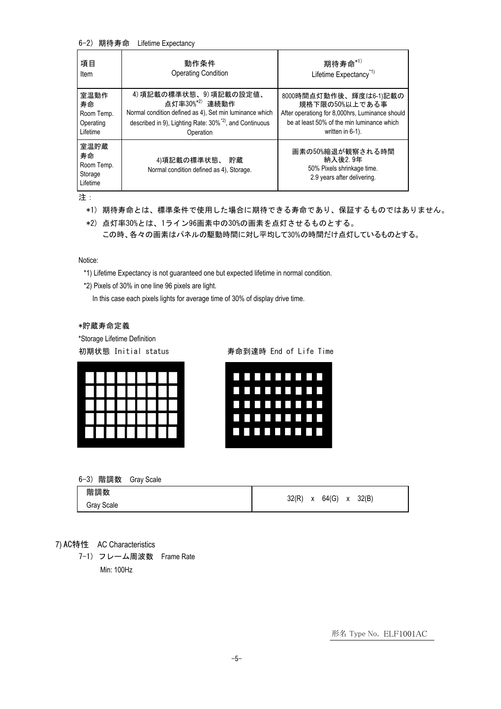#### 6-2) 期待寿命 Lifetime Expectancy

| 項目                                              | 動作条件                                                                | 期待寿命 $^{\ast 1)}$                                                                        |
|-------------------------------------------------|---------------------------------------------------------------------|------------------------------------------------------------------------------------------|
| Item                                            | <b>Operating Condition</b>                                          | Lifetime Expectancy <sup>*1)</sup>                                                       |
| 室温動作                                            | 4) 項記載の標準状態、9) 項記載の設定値、                                             | 8000時間点灯動作後、輝度は6-1)記載の                                                                   |
| 寿命                                              | 点灯率30%*2) 連続動作                                                      | 規格下限の50%以上である事                                                                           |
| Room Temp.                                      | Normal condition defined as 4), Set min luminance which             | After operationg for 8,000hrs, Luminance should                                          |
| Operating                                       | described in 9), Lighting Rate: 30% <sup>*2)</sup> , and Continuous | be at least 50% of the min luminance which                                               |
| Lifetime                                        | Operation                                                           | written in 6-1).                                                                         |
| 室温貯蔵<br>寿命<br>Room Temp.<br>Storage<br>Lifetime | 4)項記載の標準状態、 貯蔵<br>Normal condition defined as 4), Storage.          | 画素の50%縮退が観察される時間<br>納入後2.9年<br>50% Pixels shrinkage time.<br>2.9 years after delivering. |

注:

- \*1) 期待寿命とは、標準条件で使用した場合に期待できる寿命であり、保証するものではありません。
- \*2) 点灯率30%とは、1ライン96画素中の30%の画素を点灯させるものとする。 この時、各々の画素はパネルの駆動時間に対し平均して30%の時間だけ点灯しているものとする。

Notice:

- \*1) Lifetime Expectancy is not guaranteed one but expected lifetime in normal condition.
- \*2) Pixels of 30% in one line 96 pixels are light.

In this case each pixels lights for average time of 30% of display drive time.

\*貯蔵寿命定義

\*Storage Lifetime Definition



初期状態 Initial status 寿命到達時 End of Life Time



6-3) 階調数 Gray Scale

| 階調数        |       |   |       |   |       |
|------------|-------|---|-------|---|-------|
| Gray Scale | 32(R) | х | 64(G) | х | 32(B) |

7) AC特性 AC Characteristics

7-1) フレーム周波数 Frame Rate Min: 100Hz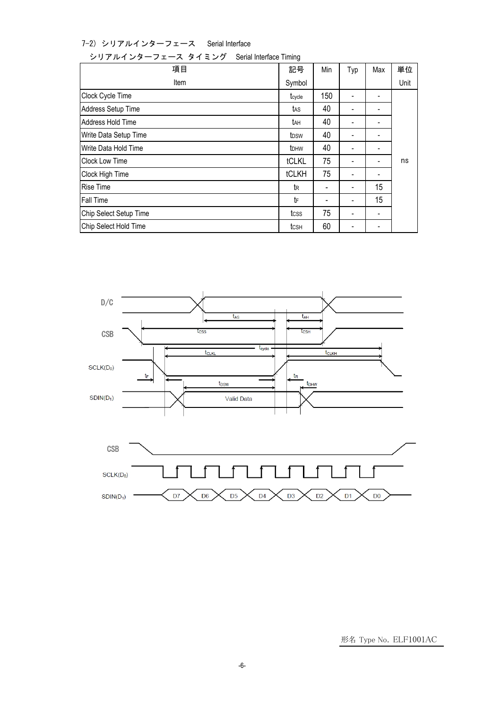7-2) シリアルインターフェース Serial Interface

シリアルインターフェース タイミング Serial Interface Timing

| 項目                     | 記号               | Min | Typ            | Max            | 単位   |
|------------------------|------------------|-----|----------------|----------------|------|
| Item                   | Symbol           |     |                |                | Unit |
| Clock Cycle Time       | tcycle           | 150 | $\blacksquare$ |                |      |
| Address Setup Time     | tas              | 40  | $\blacksquare$ |                |      |
| Address Hold Time      | tан              | 40  |                |                |      |
| Write Data Setup Time  | tpsw             | 40  | $\blacksquare$ |                |      |
| Write Data Hold Time   | t <sub>DHW</sub> | 40  | $\blacksquare$ | $\blacksquare$ |      |
| <b>Clock Low Time</b>  | tCLKL            | 75  |                |                | ns   |
| Clock High Time        | tCLKH            | 75  | ۰              |                |      |
| <b>Rise Time</b>       | tR               |     | ۰              | 15             |      |
| Fall Time              | tF               |     | ۰              | 15             |      |
| Chip Select Setup Time | tcss             | 75  | $\blacksquare$ | $\blacksquare$ |      |
| Chip Select Hold Time  | tcsн             | 60  |                |                |      |

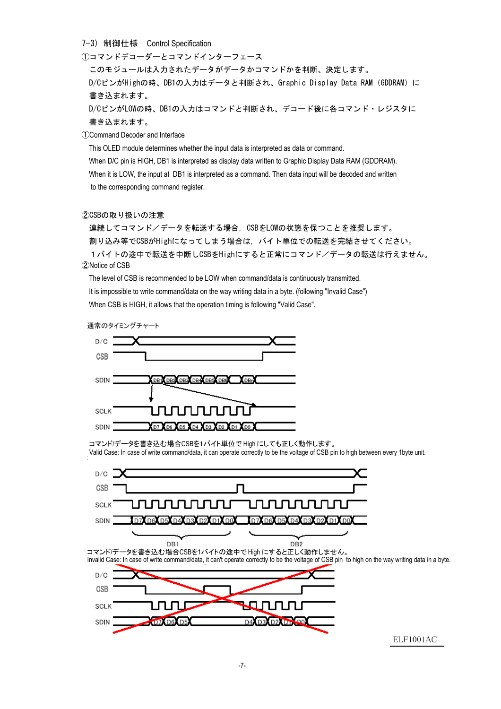7-3) 制御仕様 Control Specification

①コマンドデコーダーとコマンドインターフェース このモジュールは入力されたデータがデータかコマンドかを判断、決定します。 D/CピンがHighの時、DB1の入力はデータと判断され、Graphic Display Data RAM (GDDRAM) に 書き込まれます。 D/CピンがLOWの時、DB1の入力はコマンドと判断され、デコード後に各コマンド・レジスタに 書き込まれます。

①Command Decoder and Interface

This OLED module determines whether the input data is interpreted as data or command.

When D/C pin is HIGH, DB1 is interpreted as display data written to Graphic Display Data RAM (GDDRAM). When it is LOW, the input at DB1 is interpreted as a command. Then data input will be decoded and written to the corresponding command register.

②CSBの取り扱いの注意

連続してコマンド/データを転送する場合, CSBをLOWの状態を保つことを推奨します。 割り込み等でCSBがHighになってしまう場合は,バイト単位での転送を完結させてください。 1バイトの途中で転送を中断しCSBをHighにすると正常にコマンド/データの転送は行えません。

#### ②Notice of CSB

The level of CSB is recommended to be LOW when command/data is continuously transmitted. It is impossible to write command/data on the way writing data in a byte. (following "Invalid Case") When CSB is HIGH, it allows that the operation timing is following "Valid Case".

通常のタイミングチャート



コマンド/データを書き込む場合CSBを1バイト単位で High にしても正しく動作します。 Valid Case: In case of write command/data, it can operate correctly to be the voltage of CSB pin to high between every 1byte unit.

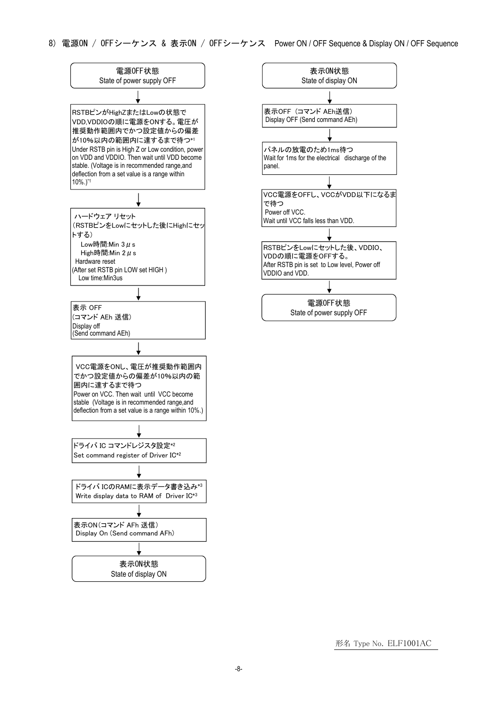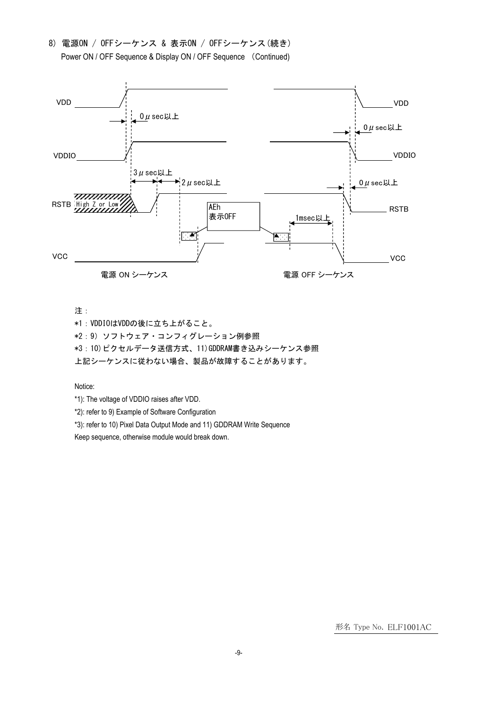8) 電源ON / OFFシーケンス & 表示ON / OFFシーケンス(続き) Power ON / OFF Sequence & Display ON / OFF Sequence (Continued)



注:

\*1:VDDIOはVDDの後に立ち上がること。

\*2:9)ソフトウェア・コンフィグレーション例参照

\*3:10)ピクセルデータ送信方式、11)GDDRAM書き込みシーケンス参照

上記シーケンスに従わない場合、製品が故障することがあります。

Notice:

\*1): The voltage of VDDIO raises after VDD.

\*2): refer to 9) Example of Software Configuration

\*3): refer to 10) Pixel Data Output Mode and 11) GDDRAM Write Sequence

Keep sequence, otherwise module would break down.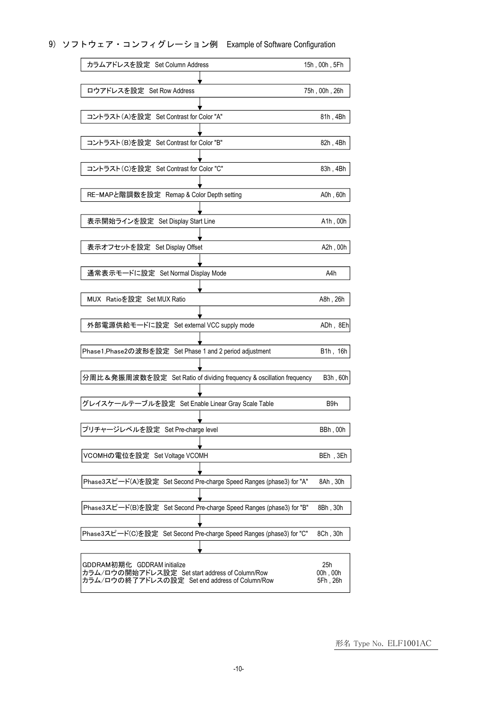# 9) ソフトウェア・コンフィグレーション例 Example of Software Configuration

| カラムアドレスを設定 Set Column Address                                                  | 15h, 00h, 5Fh    |
|--------------------------------------------------------------------------------|------------------|
|                                                                                |                  |
| ロウアドレスを設定 Set Row Address                                                      | 75h, 00h, 26h    |
|                                                                                |                  |
| コントラスト(A)を設定 Set Contrast for Color "A"                                        | 81h, 4Bh         |
|                                                                                |                  |
| コントラスト(B)を設定 Set Contrast for Color "B"                                        | 82h, 4Bh         |
|                                                                                |                  |
| コントラスト(C)を設定 Set Contrast for Color "C"                                        | 83h, 4Bh         |
|                                                                                |                  |
| RE-MAPと階調数を設定 Remap & Color Depth setting                                      | A0h, 60h         |
|                                                                                |                  |
| 表示開始ラインを設定 Set Display Start Line                                              | A1h, 00h         |
|                                                                                |                  |
| 表示オフセットを設定 Set Display Offset                                                  | A2h, 00h         |
|                                                                                |                  |
| 通常表示モードに設定 Set Normal Display Mode                                             | A4h              |
|                                                                                |                  |
| MUX Ratioを設定 Set MUX Ratio                                                     | A8h, 26h         |
|                                                                                |                  |
| 外部電源供給モードに設定 Set external VCC supply mode                                      | ADh, 8Eh         |
|                                                                                |                  |
| Phase1, Phase2の波形を設定 Set Phase 1 and 2 period adjustment                       | B1h, 16h         |
|                                                                                |                  |
| 分周比&発振周波数を設定 Set Ratio of dividing frequency & oscillation frequency           | B3h, 60h         |
|                                                                                |                  |
| グレイスケールテーブルを設定 Set Enable Linear Gray Scale Table                              | B <sub>9</sub> h |
|                                                                                |                  |
| プリチャージレベルを設定 Set Pre-charge level                                              | BBh, 00h         |
|                                                                                |                  |
| VCOMHの電位を設定 Set Voltage VCOMH                                                  | BEh, 3Eh         |
|                                                                                |                  |
| Phase3スピード(A)を設定 Set Second Pre-charge Speed Ranges (phase3) for "A"           | 8Ah, 30h         |
|                                                                                |                  |
| Phase3スピード(B)を設定 Set Second Pre-charge Speed Ranges (phase3) for "B"           |                  |
|                                                                                | 8Bh, 30h         |
| Phase3スピード(C)を設定 Set Second Pre-charge Speed Ranges (phase3) for "C"           | 8Ch, 30h         |
|                                                                                |                  |
|                                                                                |                  |
| GDDRAM初期化 GDDRAM initialize<br>カラム/ロウの開始アドレス設定 Set start address of Column/Row | 25h<br>00h, 00h  |
| カラム/ロウの終了アドレスの設定 Set end address of Column/Row                                 | 5Fh, 26h         |
|                                                                                |                  |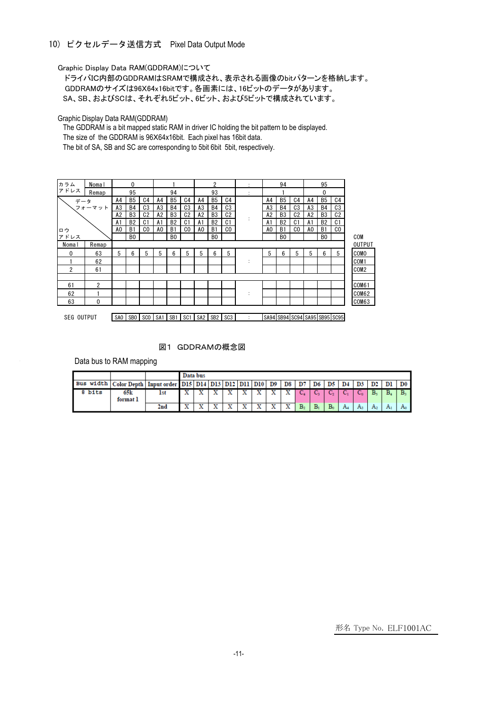# 10) ピクセルデータ送信方式 Pixel Data Output Mode

Graphic Display Data RAM(GDDRAM)について

ドライバIC内部のGDDRAMはSRAMで構成され、表示される画像のbitパターンを格納します。 GDDRAMのサイズは96X64x16bitです。各画素には、16ビットのデータがあります。 SA、SB、およびSCは、それぞれ5ビット、6ビット、および5ビットで構成されています。

Graphic Display Data RAM(GDDRAM)

The GDDRAM is a bit mapped static RAM in driver IC holding the bit pattern to be displayed.

The size of the GDDRAM is 96X64x16bit. Each pixel has 16bit data.

The bit of SA, SB and SC are corresponding to 5bit 6bit 5bit, respectively.



#### 図1 GDDRAMの概念図

Data bus to RAM mapping

|                                                                                |                 |                 | Data bus                 |  |  |   |   |   |              |                             |       |                |    |       |               |    |    |
|--------------------------------------------------------------------------------|-----------------|-----------------|--------------------------|--|--|---|---|---|--------------|-----------------------------|-------|----------------|----|-------|---------------|----|----|
| Bus width   Color Depth   Input order   D15   D14   D13   D12   D11   D10   D9 |                 |                 |                          |  |  |   |   |   | <b>D8 D7</b> |                             | D6    | D5             | D4 |       | $\mathbf{D2}$ |    | D0 |
| 8 bits                                                                         | 65k<br>format 1 | 1st             |                          |  |  |   |   | х | $\sim$       | $\mathcal{L}_{\mathcal{A}}$ | ◡     |                |    | ◡     | в.            | в, | в. |
|                                                                                |                 | 2 <sub>nd</sub> | $\overline{\phantom{a}}$ |  |  | ₩ | w | х | ∼            | B <sub>2</sub>              | $B_1$ | $\mathbf{B}_c$ | Aа | $A_3$ | A2            | Aı |    |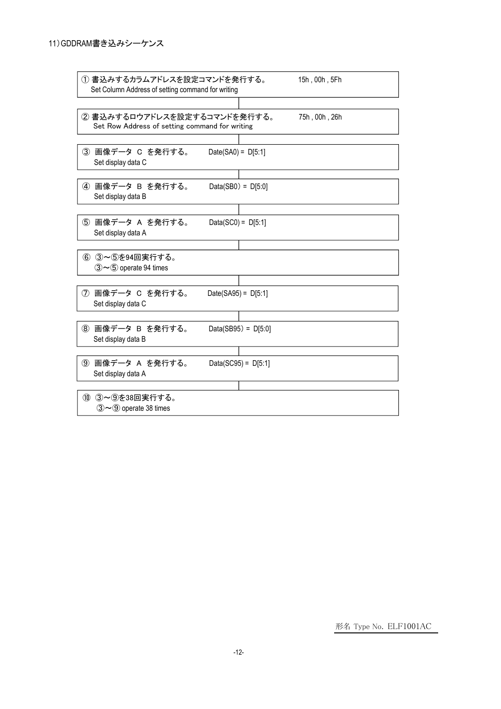| ① 書込みするカラムアドレスを設定コマンドを発行する。<br>Set Column Address of setting command for writing | 15h, 00h, 5Fh         |
|----------------------------------------------------------------------------------|-----------------------|
| ② 書込みするロウアドレスを設定するコマンドを発行する。<br>Set Row Address of setting command for writing   | 75h, 00h, 26h         |
| 3 画像データ C を発行する。<br>Set display data C                                           | Date(SA0) = $D[5:1]$  |
| 4 画像データ B を発行する。<br>Set display data B                                           | $Data(SB0) = D[5:0]$  |
| ⑤ 画像データ A を発行する。<br>Set display data A                                           | Data(SC0) = $D[5:1]$  |
| 6 3~5を94回実行する。<br>$(3)$ $\sim$ 5 operate 94 times                                |                       |
| (7) 画像データ C を発行する。<br>Set display data C                                         | Date(SA95) = $D[5:1]$ |
| 8 画像データ B を発行する。<br>Set display data B                                           | Data(SB95) = $D[5:0]$ |
| ⑨ 画像データ A を発行する。<br>Set display data A                                           | Data(SC95) = $D[5:1]$ |
| 10 3~9を38回実行する。<br>$(3)$ $\sim$ 9 operate 38 times                               |                       |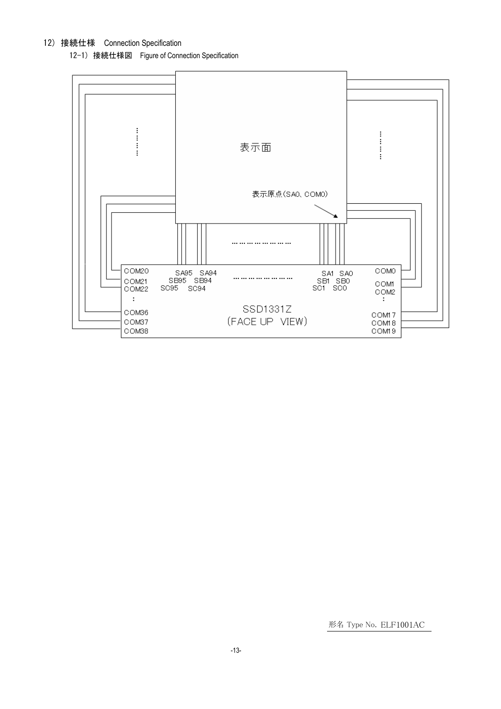# 12) 接続仕様 Connection Specification

12-1) 接続仕様図 Figure of Connection Specification

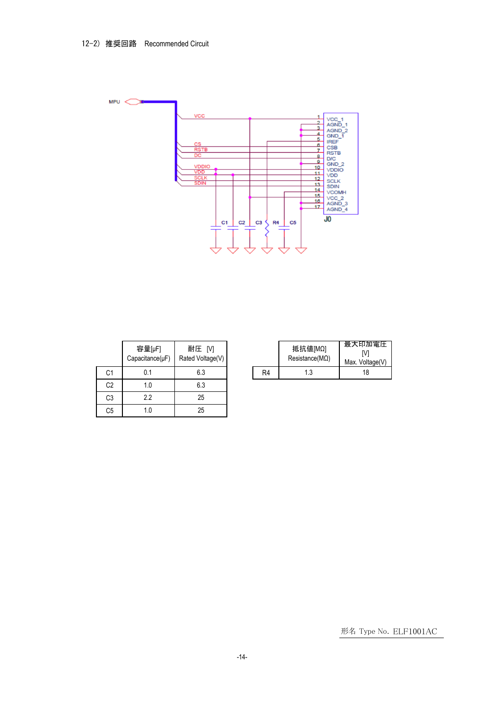

|                | 容量[µF]<br>$Capacitance(\mu F)$ | 耐圧 [V]<br>Rated Voltage(V) |    |
|----------------|--------------------------------|----------------------------|----|
| C <sub>1</sub> | 0.1                            | 6.3                        | R4 |
| C <sub>2</sub> | 1.0                            | 6.3                        |    |
| C3             | 2.2                            | 25                         |    |
| C5             | 1.0                            | 25                         |    |

| Ξ<br>IV1<br>Voltage(V) |    | 抵抗値[MΩ]<br>$Resistance(M\Omega)$ | 最大印加電圧<br>Max. Voltage(V) |  |
|------------------------|----|----------------------------------|---------------------------|--|
| 6.3                    | R4 | 1.3                              | 18                        |  |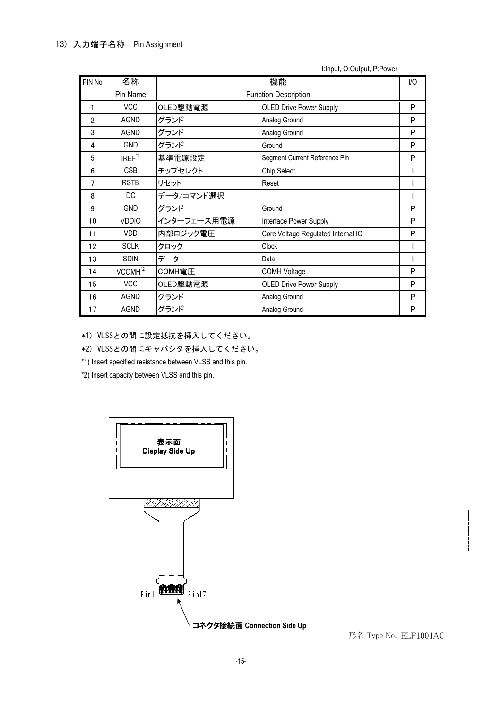| PIN No         | 名称                  | 機能<br>1/O                   |                                    |   |  |
|----------------|---------------------|-----------------------------|------------------------------------|---|--|
|                | Pin Name            | <b>Function Description</b> |                                    |   |  |
| 1              | <b>VCC</b>          | OLED駆動電源                    | <b>OLED Drive Power Supply</b>     | P |  |
| $\overline{2}$ | <b>AGND</b>         | グランド                        | Analog Ground                      | P |  |
| 3              | AGND                | グランド                        | Analog Ground                      | P |  |
| 4              | <b>GND</b>          | グランド                        | Ground                             | P |  |
| 5              | IREF <sup>*1</sup>  | 基準電源設定                      | Segment Current Reference Pin      | P |  |
| 6              | <b>CSB</b>          | チップセレクト                     | Chip Select                        |   |  |
| 7              | <b>RSTB</b>         | リセット                        | Reset                              |   |  |
| 8              | DC                  | データ/コマンド選択                  |                                    |   |  |
| 9              | <b>GND</b>          | グランド                        | Ground                             | P |  |
| 10             | <b>VDDIO</b>        | インターフェース用電源                 | Interface Power Supply             | P |  |
| 11             | <b>VDD</b>          | 内部ロジック電圧                    | Core Voltage Regulated Internal IC | P |  |
| 12             | <b>SCLK</b>         | クロック                        | <b>Clock</b>                       |   |  |
| 13             | <b>SDIN</b>         | データ                         | Data                               |   |  |
| 14             | VCOMH <sup>*2</sup> | COMH電圧                      | <b>COMH Voltage</b>                | P |  |
| 15             | <b>VCC</b>          | OLED駆動電源                    | <b>OLED Drive Power Supply</b>     | P |  |
| 16             | <b>AGND</b>         | グランド                        | Analog Ground                      | P |  |
| 17             | <b>AGND</b>         | グランド                        | Analog Ground                      | P |  |

I:Input, O:Output, P:Power

\*1) VLSSとの間に設定抵抗を挿入してください。

\*2) VLSSとの間にキャパシタを挿入してください。

\*1) Insert specified resistance between VLSS and this pin.

\*2) Insert capacity between VLSS and this pin.

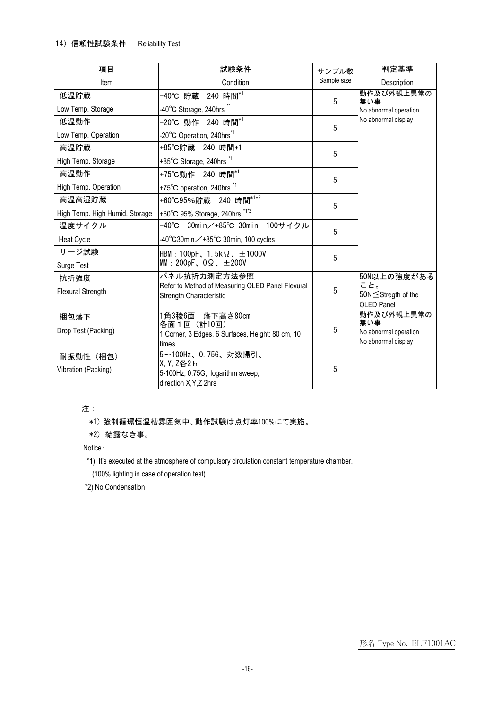| 項目                             | 試験条件                                                                        | サンプル数       | 判定基準                  |
|--------------------------------|-----------------------------------------------------------------------------|-------------|-----------------------|
| Item                           | Condition                                                                   | Sample size | Description           |
| 低温貯蔵                           | -40℃ 貯蔵 240 時間 <sup>*1</sup>                                                | 5           | 動作及び外観上異常の<br>無い事     |
| Low Temp. Storage              | -40°C Storage, 240hrs <sup>*1</sup>                                         |             | No abnormal operation |
| 低温動作                           | -20℃ 動作 240 時間 <sup>*1</sup>                                                | 5           | No abnormal display   |
| Low Temp. Operation            | -20°C Operation, 240hrs <sup>*1</sup>                                       |             |                       |
| 高温貯蔵                           | +85℃貯蔵 240 時間*1                                                             | 5           |                       |
| High Temp. Storage             | +85°C Storage, 240hrs *1                                                    |             |                       |
| 高温動作                           | +75℃動作 240 時間 <sup>*1</sup>                                                 | 5           |                       |
| High Temp. Operation           | +75°C operation, 240hrs *1                                                  |             |                       |
| 高温高湿貯蔵                         | +60°C95%貯蔵 240 時間 <sup>*1*2</sup>                                           | 5           |                       |
| High Temp. High Humid. Storage | +60°C 95% Storage, 240hrs *1*2                                              |             |                       |
| 温度サイクル                         | -40℃ 30min/+85℃ 30min 100サイクル                                               | 5           |                       |
| <b>Heat Cycle</b>              | -40°C30min∕+85°C 30min, 100 cycles                                          |             |                       |
| サージ試験                          | HBM: 100pF, 1.5k $\Omega$ , $\pm$ 1000V                                     | 5           |                       |
| Surge Test                     | MM: 200pF, $0\Omega$ , $\pm 200V$                                           |             |                       |
| 抗折強度                           | パネル抗折力測定方法参照                                                                |             | 50N以上の強度がある<br>こと。    |
| <b>Flexural Strength</b>       | Refer to Method of Measuring OLED Panel Flexural<br>Strength Characteristic | 5           | 50N ≤ Stregth of the  |
|                                |                                                                             |             | OLED Panel            |
| 梱包落下                           | 1角3稜6面 落下高さ80cm                                                             |             | 動作及び外観上異常の<br>無い事     |
| Drop Test (Packing)            | 各面1回(計10回)<br>1 Corner, 3 Edges, 6 Surfaces, Height: 80 cm, 10              | $\sqrt{5}$  | No abnormal operation |
|                                | times                                                                       |             | No abnormal display   |
| 耐振動性 (梱包)                      | 5~100Hz、0.75G、対数掃引、                                                         |             |                       |
| Vibration (Packing)            | X, Y, Z各2 h<br>5-100Hz, 0.75G, logarithm sweep,                             | 5           |                       |
|                                | direction X, Y, Z 2hrs                                                      |             |                       |

注:

\*1) 強制循環恒温槽雰囲気中、動作試験は点灯率100%にて実施。

\*2) 結露なき事。

Notice:

\*1) It's executed at the atmosphere of compulsory circulation constant temperature chamber.

(100% lighting in case of operation test)

\*2) No Condensation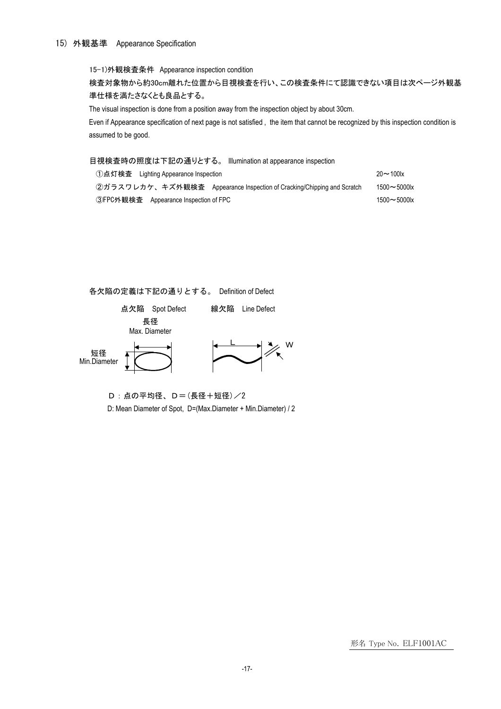#### 15) 外観基準 Appearance Specification

15-1)外観検査条件 Appearance inspection condition

検査対象物から約30cm離れた位置から目視検査を行い、この検査条件にて認識できない項目は次ページ外観基 準仕様を満たさなくとも良品とする。

The visual inspection is done from a position away from the inspection object by about 30cm.

Even if Appearance specification of next page is not satisfied , the item that cannot be recognized by this inspection condition is assumed to be good.

目視検査時の照度は下記の通りとする。 Illumination at appearance inspection

| ①点灯検査 Lighting Appearance Inspection                                   | $20 - 100$       |
|------------------------------------------------------------------------|------------------|
| ②ガラスワレカケ、キズ外観検査 Appearance Inspection of Cracking/Chipping and Scratch | $1500 - 5000$ lx |
| ③FPC外観検査 Appearance Inspection of FPC                                  | $1500 - 5000$ lx |

各欠陥の定義は下記の通りとする。 Definition of Defect



D:点の平均径、D=(長径+短径)/2 D: Mean Diameter of Spot, D=(Max.Diameter + Min.Diameter) / 2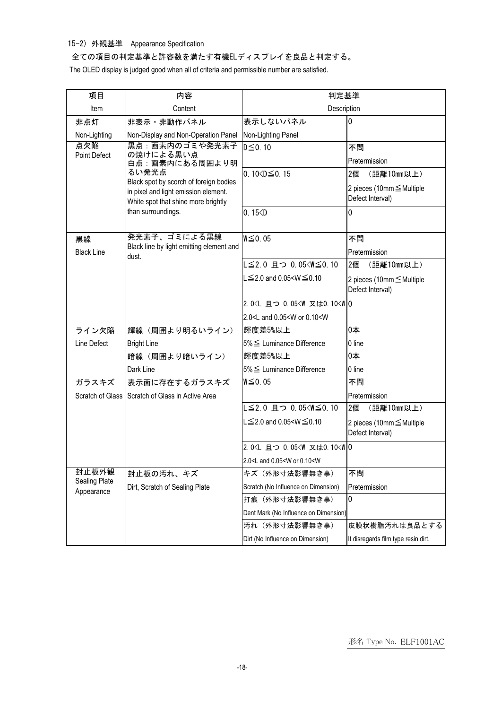15-2) 外観基準 Appearance Specification

全ての項目の判定基準と許容数を満たす有機ELディスプレイを良品と判定する。

The OLED display is judged good when all of criteria and permissible number are satisfied.

| 項目                          | 内容                                                                                                                                                                                                    | 判定基準                                                              |                                                                                               |  |
|-----------------------------|-------------------------------------------------------------------------------------------------------------------------------------------------------------------------------------------------------|-------------------------------------------------------------------|-----------------------------------------------------------------------------------------------|--|
| Item                        | Content                                                                                                                                                                                               | Description                                                       |                                                                                               |  |
| 非点灯                         | 非表示・非動作パネル                                                                                                                                                                                            | 表示しないパネル                                                          | 0                                                                                             |  |
| Non-Lighting                | Non-Display and Non-Operation Panel                                                                                                                                                                   | Non-Lighting Panel                                                |                                                                                               |  |
| 点欠陥<br><b>Point Defect</b>  | 黒点:画素内のゴミや発光素子<br>の焼けによる黒い点<br>白点:画素内にある周囲より明<br>るい発光点<br>Black spot by scorch of foreign bodies<br>in pixel and light emission element.<br>White spot that shine more brightly<br>than surroundings. | $D \leq 0.10$<br>0.10 $\leq$ 0.15<br>0.15 < D                     | 不問<br>Pretermission<br>2個<br>(距離10mm以上)<br>2 pieces (10mm ≤ Multiple<br>Defect Interval)<br>0 |  |
| 黒線                          | 発光素子、ゴミによる黒線<br>Black line by light emitting element and                                                                                                                                              | $W \leq 0.05$                                                     | 不問                                                                                            |  |
| <b>Black Line</b>           | dust.                                                                                                                                                                                                 |                                                                   | Pretermission                                                                                 |  |
|                             |                                                                                                                                                                                                       | L≦2.0 且つ 0.05 <w≦0.10< td=""><td>2個<br/>(距離10mm以上)</td></w≦0.10<> | 2個<br>(距離10mm以上)                                                                              |  |
|                             |                                                                                                                                                                                                       | $L \le 2.0$ and 0.05 <w <math="">\le 0.10</w>                     | 2 pieces (10mm ≤ Multiple<br>Defect Interval)                                                 |  |
|                             |                                                                                                                                                                                                       | 2.0 <l 0.05<w="" 0<="" td="" 且つ="" 又は0.10<w=""><td></td></l>      |                                                                                               |  |
|                             |                                                                                                                                                                                                       | 2.0 <l 0.05<w="" 0.10<w<="" and="" or="" td=""><td></td></l>      |                                                                                               |  |
| ライン欠陥                       | 輝線 (周囲より明るいライン)                                                                                                                                                                                       | 輝度差5%以上                                                           | 0本                                                                                            |  |
| Line Defect                 | <b>Bright Line</b>                                                                                                                                                                                    | 5% ≤ Luminance Difference                                         | 0 line                                                                                        |  |
|                             | 暗線 (周囲より暗いライン)                                                                                                                                                                                        | 輝度差5%以上                                                           | 0本                                                                                            |  |
|                             | Dark Line                                                                                                                                                                                             | 5% ≤ Luminance Difference                                         | 0 line                                                                                        |  |
| ガラスキズ                       | 表示面に存在するガラスキズ                                                                                                                                                                                         | $W \leq 0.05$                                                     | 不問                                                                                            |  |
|                             | Scratch of Glass Scratch of Glass in Active Area                                                                                                                                                      |                                                                   | Pretermission                                                                                 |  |
|                             |                                                                                                                                                                                                       | L≦2.0 且つ 0.05 <w≦0.10< td=""><td>2個<br/>(距離10mm以上)</td></w≦0.10<> | 2個<br>(距離10mm以上)                                                                              |  |
|                             |                                                                                                                                                                                                       | $L \le 2.0$ and 0.05 <w <math="">\le 0.10</w>                     | 2 pieces (10mm ≤ Multiple<br>Defect Interval)                                                 |  |
|                             |                                                                                                                                                                                                       | 2.0 <l 0.05<w="" 0<="" td="" 且つ="" 又は0.10<w=""><td></td></l>      |                                                                                               |  |
|                             |                                                                                                                                                                                                       | 2.0 <l 0.05<w="" 0.10<w<="" and="" or="" td=""><td></td></l>      |                                                                                               |  |
| 封止板外観                       | 封止板の汚れ、キズ                                                                                                                                                                                             | キズ (外形寸法影響無き事)                                                    | 不問                                                                                            |  |
| Sealing Plate<br>Appearance | Dirt, Scratch of Sealing Plate                                                                                                                                                                        | Scratch (No Influence on Dimension)                               | Pretermission                                                                                 |  |
|                             |                                                                                                                                                                                                       | 打痕 (外形寸法影響無き事)                                                    | 0                                                                                             |  |
|                             |                                                                                                                                                                                                       | Dent Mark (No Influence on Dimension)                             |                                                                                               |  |
|                             |                                                                                                                                                                                                       | 汚れ (外形寸法影響無き事)                                                    | 皮膜状樹脂汚れは良品とする                                                                                 |  |
|                             |                                                                                                                                                                                                       | Dirt (No Influence on Dimension)                                  | It disregards film type resin dirt.                                                           |  |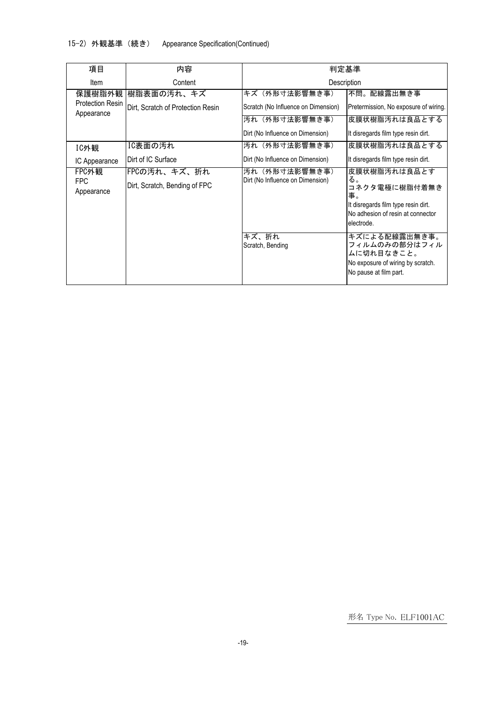15-2) 外観基準(続き) Appearance Specification(Continued)

| 項目                                              | 内容                                              | 判定基準                                                 |                                                                                                                                     |  |
|-------------------------------------------------|-------------------------------------------------|------------------------------------------------------|-------------------------------------------------------------------------------------------------------------------------------------|--|
| Item                                            | Content                                         | Description                                          |                                                                                                                                     |  |
| 保護樹脂外観<br><b>Protection Resin</b><br>Appearance | 樹脂表面の汚れ、キズ<br>Dirt, Scratch of Protection Resin | キズ(外形寸法影響無き事)<br>Scratch (No Influence on Dimension) | 不問。配線露出無き事<br>Pretermission, No exposure of wiring.                                                                                 |  |
|                                                 |                                                 | 汚れ(外形寸法影響無き事)<br>Dirt (No Influence on Dimension)    | 皮膜状樹脂汚れは良品とする<br>It disregards film type resin dirt.                                                                                |  |
| IC外観                                            | IC表面の汚れ                                         | 汚れ(外形寸法影響無き事)                                        | 皮膜状樹脂汚れは良品とする                                                                                                                       |  |
| IC Appearance                                   | Dirt of IC Surface                              | Dirt (No Influence on Dimension)                     | It disregards film type resin dirt.                                                                                                 |  |
| FPC外観<br><b>FPC</b><br>Appearance               | FPCの汚れ、キズ、折れ<br>Dirt, Scratch, Bending of FPC   | 汚れ(外形寸法影響無き事)<br>Dirt (No Influence on Dimension)    | 皮膜状樹脂汚れは良品とす<br>る。<br>コネクタ電極に樹脂付着無き<br>事。<br>It disregards film type resin dirt.<br>No adhesion of resin at connector<br>electrode. |  |
|                                                 |                                                 | キズ、折れ<br>Scratch, Bending                            | キズによる配線露出無き事。<br>フィルムのみの部分はフィル<br>ムに切れ目なきこと。<br>No exposure of wiring by scratch.<br>No pause at film part.                         |  |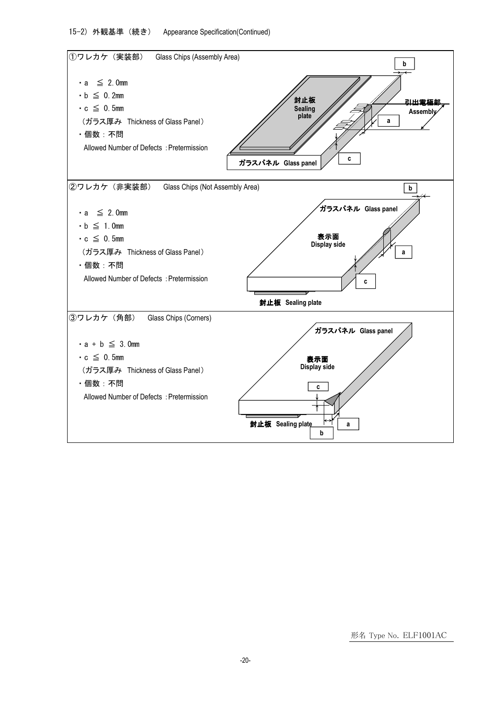15-2) 外観基準 (続き) Appearance Specification(Continued)

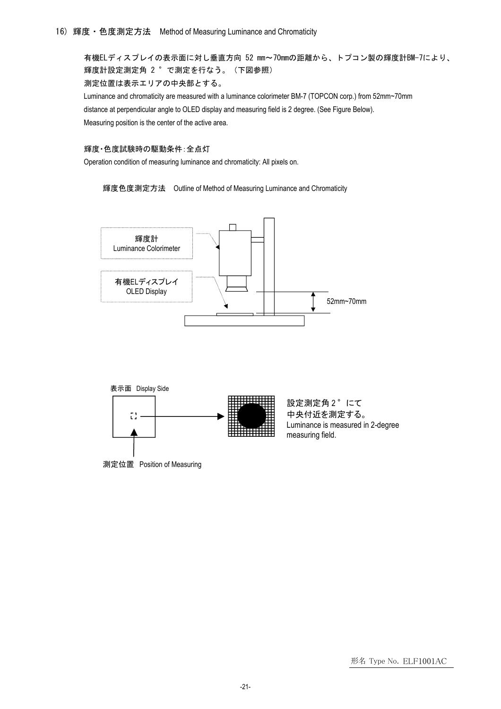16) 輝度・色度測定方法 Method of Measuring Luminance and Chromaticity

有機ELディスプレイの表示面に対し垂直方向 52 mm~70mmの距離から、トプコン製の輝度計BM-7により、 輝度計設定測定角 2 °で測定を行なう。(下図参照) 測定位置は表示エリアの中央部とする。

Luminance and chromaticity are measured with a luminance colorimeter BM-7 (TOPCON corp.) from 52mm~70mm distance at perpendicular angle to OLED display and measuring field is 2 degree. (See Figure Below). Measuring position is the center of the active area.

### 輝度・色度試験時の駆動条件:全点灯

Operation condition of measuring luminance and chromaticity: All pixels on.

輝度色度測定方法 Outline of Method of Measuring Luminance and Chromaticity





測定位置 Position of Measuring

設定測定角 2°にて 中央付近を測定する。 Luminance is measured in 2-degree measuring field.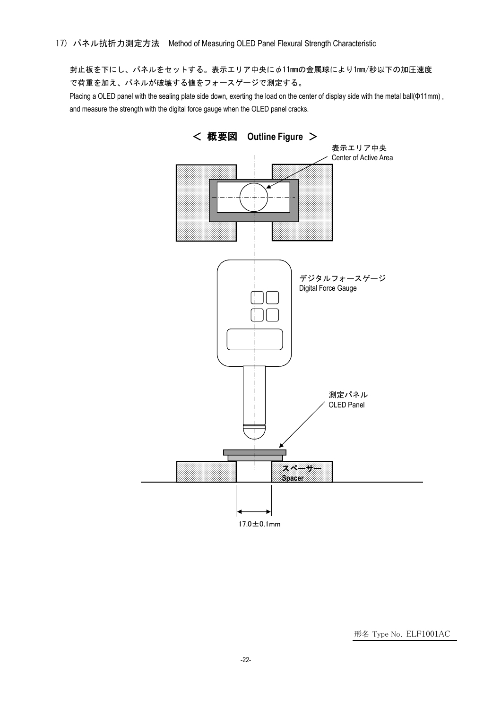封止板を下にし、パネルをセットする。表示エリア中央にφ11mmの金属球により1mm/秒以下の加圧速度 で荷重を加え、パネルが破壊する値をフォースゲージで測定する。

Placing a OLED panel with the sealing plate side down, exerting the load on the center of display side with the metal ball(Φ11mm), and measure the strength with the digital force gauge when the OLED panel cracks.

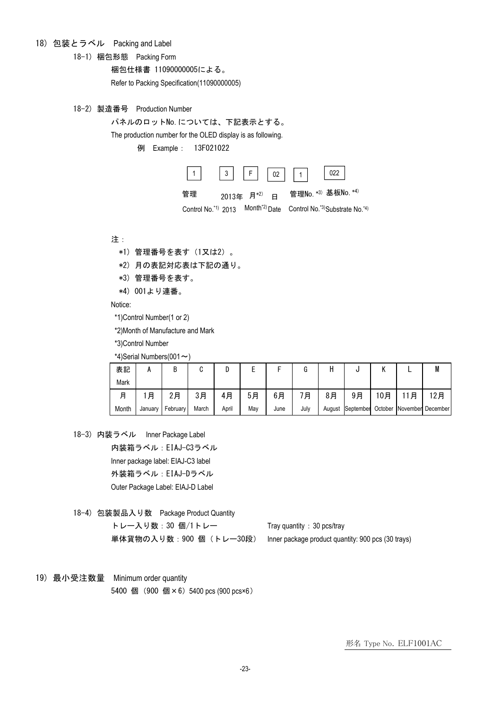## 18) 包装とラベル Packing and Label

18-1) 梱包形態 Packing Form

梱包仕様書 11090000005による。

Refer to Packing Specification(11090000005)

18-2) 製造番号 Production Number

パネルのロットNo.については、下記表示とする。

The production number for the OLED display is as following.

例 Example: 13F021022



Control No.\*1) 2013 Month<sup>\*2)</sup> Date Control No.\*3)Substrate No.\*4)

注:

- \*1) 管理番号を表す(1又は2)。
- \*2) 月の表記対応表は下記の通り。
- \*3) 管理番号を表す。
- \*4) 001より連番。

Notice:

\*1)Control Number(1 or 2)

\*2)Month of Manufacture and Mark

\*3)Control Number

\*4)Serial Numbers(001 $\sim$ )

| 表記    |         | ט        |       |       |     |      |      |    | L                |     |   | M                         |
|-------|---------|----------|-------|-------|-----|------|------|----|------------------|-----|---|---------------------------|
| Mark  |         |          |       |       |     |      |      |    |                  |     |   |                           |
| 月     | 月       | 2月       | 3月    | 4月    | 5月  | 6月   | 月    | 8月 | 9月               | 10月 | 月 | 2月                        |
| Month | January | February | March | April | May | June | July |    | August September |     |   | October November December |

18-3) 内装ラベル Inner Package Label 内装箱ラベル:EIAJ-C3ラベル Inner package label: EIAJ-C3 label 外装箱ラベル:EIAJ-Dラベル Outer Package Label: EIAJ-D Label

18-4) 包装製品入り数 Package Product Quantity トレー入り数:30個/1トレー Tray quantity: 30 pcs/tray 単体貨物の入り数: 900 個 (トレー30段) Inner package product quantity: 900 pcs (30 trays)

19) 最小受注数量 Minimum order quantity 5400 個 (900 個×6) 5400 pcs (900 pcs×6)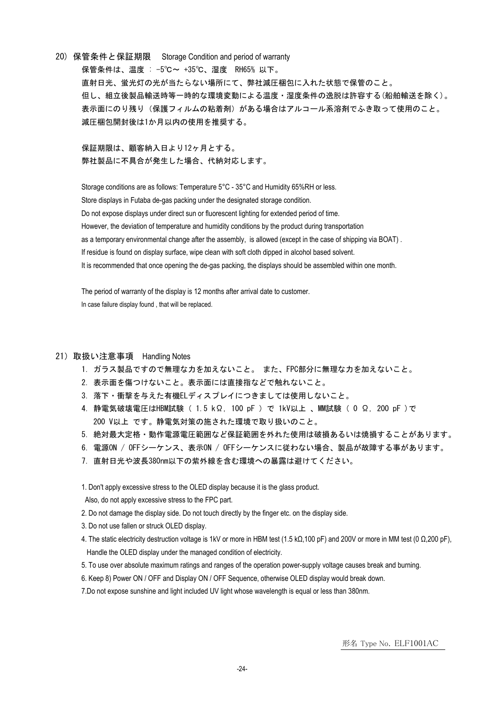20) 保管条件と保証期限 Storage Condition and period of warranty 保管条件は、温度 : -5℃~ +35℃、湿度 RH65% 以下。 直射日光、蛍光灯の光が当たらない場所にて、弊社減圧梱包に入れた状態で保管のこと。 但し、組立後製品輸送時等一時的な環境変動による温度・湿度条件の逸脱は許容する(船舶輸送を除く)。 表示面にのり残り(保護フィルムの粘着剤)がある場合はアルコール系溶剤でふき取って使用のこと。 減圧梱包開封後は1か月以内の使用を推奨する。

保証期限は、顧客納入日より12ヶ月とする。 弊社製品に不具合が発生した場合、代納対応します。

Storage conditions are as follows: Temperature 5°C - 35°C and Humidity 65%RH or less. Store displays in Futaba de-gas packing under the designated storage condition. Do not expose displays under direct sun or fluorescent lighting for extended period of time. However, the deviation of temperature and humidity conditions by the product during transportation as a temporary environmental change after the assembly, is allowed (except in the case of shipping via BOAT) . If residue is found on display surface, wipe clean with soft cloth dipped in alcohol based solvent. It is recommended that once opening the de-gas packing, the displays should be assembled within one month.

The period of warranty of the display is 12 months after arrival date to customer. In case failure display found, that will be replaced.

### 21)取扱い注意事項 Handling Notes

- 1.ガラス製品ですので無理な力を加えないこと。 また、FPC部分に無理な力を加えないこと。
- 2.表示面を傷つけないこと。表示面には直接指などで触れないこと。
- 3. 落下・衝撃を与えた有機ELディスプレイにつきましては使用しないこと。
- 4.静電気破壊電圧はHBM試験( 1.5 kΩ, 100 pF )で 1kV以上 、MM試験( 0 Ω, 200 pF )で 200 V以上 です。静電気対策の施された環境で取り扱いのこと。
- 5.絶対最大定格・動作電源電圧範囲など保証範囲を外れた使用は破損あるいは焼損することがあります。
- 6.電源ON / OFFシーケンス、表示ON / OFFシーケンスに従わない場合、製品が故障する事があります。
- 7.直射日光や波長380nm以下の紫外線を含む環境への暴露は避けてください。

1. Don't apply excessive stress to the OLED display because it is the glass product.

- Also, do not apply excessive stress to the FPC part.
- 2. Do not damage the display side. Do not touch directly by the finger etc. on the display side.
- 3. Do not use fallen or struck OLED display.
- 4. The static electricity destruction voltage is 1kV or more in HBM test (1.5 kΩ,100 pF) and 200V or more in MM test (0 Ω,200 pF), Handle the OLED display under the managed condition of electricity.
- 5. To use over absolute maximum ratings and ranges of the operation power-supply voltage causes break and burning.
- 6. Keep 8) Power ON / OFF and Display ON / OFF Sequence, otherwise OLED display would break down.

7.Do not expose sunshine and light included UV light whose wavelength is equal or less than 380nm.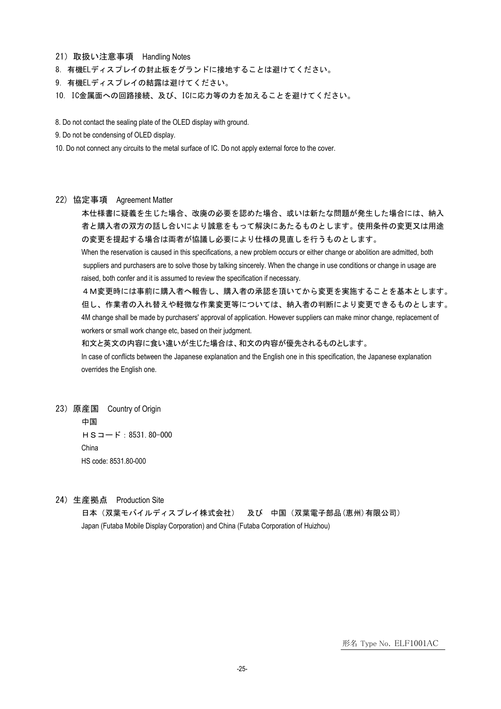- 21)取扱い注意事項 Handling Notes
- 8.有機ELディスプレイの封止板をグランドに接地することは避けてください。
- 9. 有機ELディスプレイの結露は避けてください。
- 10. IC金属面への回路接続、及び、ICに応力等の力を加えることを避けてください。

8. Do not contact the sealing plate of the OLED display with ground.

9. Do not be condensing of OLED display.

10. Do not connect any circuits to the metal surface of IC. Do not apply external force to the cover.

#### 22) 協定事項 Agreement Matter

本仕様書に疑義を生じた場合、改廃の必要を認めた場合、或いは新たな問題が発生した場合には、納入 者と購入者の双方の話し合いにより誠意をもって解決にあたるものとします。使用条件の変更又は用途 の変更を提起する場合は両者が協議し必要により仕様の見直しを行うものとします。

When the reservation is caused in this specifications, a new problem occurs or either change or abolition are admitted, both suppliers and purchasers are to solve those by talking sincerely. When the change in use conditions or change in usage are raised, both confer and it is assumed to review the specification if necessary.

4M変更時には事前に購入者へ報告し、購入者の承認を頂いてから変更を実施することを基本とします。 但し、作業者の入れ替えや軽微な作業変更等については、納入者の判断により変更できるものとします。 4M change shall be made by purchasers' approval of application. However suppliers can make minor change, replacement of workers or small work change etc, based on their judgment.

和文と英文の内容に食い違いが生じた場合は、和文の内容が優先されるものとします。

In case of conflicts between the Japanese explanation and the English one in this specification, the Japanese explanation overrides the English one.

23)原産国 Country of Origin 中国 HSコード:8531.80-000 China HS code: 8531.80-000

24)生産拠点 Production Site

日本(双葉モバイルディスプレイ株式会社) 及び 中国(双葉電子部品(恵州)有限公司) Japan (Futaba Mobile Display Corporation) and China (Futaba Corporation of Huizhou)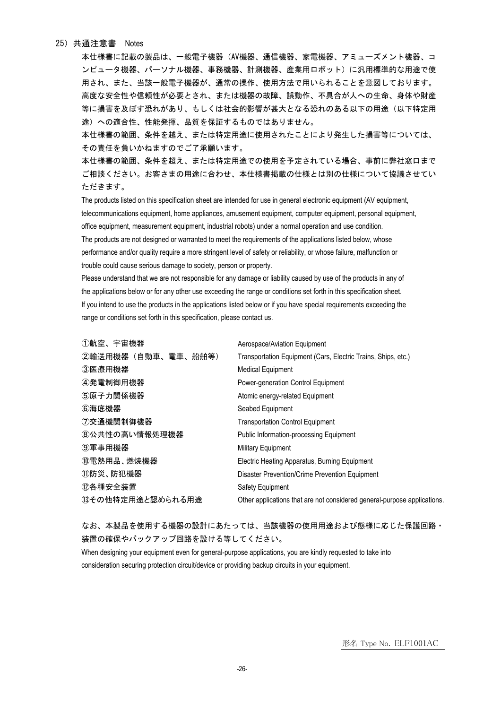#### 25)共通注意書 Notes

本仕様書に記載の製品は、一般電子機器(AV機器、通信機器、家電機器、アミューズメント機器、コ ンピュータ機器、パーソナル機器、事務機器、計測機器、産業用ロボット)に汎用標準的な用途で使 用され、また、当該一般電子機器が、通常の操作、使用方法で用いられることを意図しております。 高度な安全性や信頼性が必要とされ、または機器の故障、誤動作、不具合が人への生命、身体や財産 等に損害を及ぼす恐れがあり、もしくは社会的影響が甚大となる恐れのある以下の用途(以下特定用 途)への適合性、性能発揮、品質を保証するものではありません。

本仕様書の範囲、条件を越え、または特定用途に使用されたことにより発生した損害等については、 その責任を負いかねますのでご了承願います。

本仕様書の範囲、条件を超え、または特定用途での使用を予定されている場合、事前に弊社窓口まで ご相談ください。お客さまの用途に合わせ、本仕様書掲載の仕様とは別の仕様について協議させてい ただきます。

The products listed on this specification sheet are intended for use in general electronic equipment (AV equipment, telecommunications equipment, home appliances, amusement equipment, computer equipment, personal equipment, office equipment, measurement equipment, industrial robots) under a normal operation and use condition. The products are not designed or warranted to meet the requirements of the applications listed below, whose performance and/or quality require a more stringent level of safety or reliability, or whose failure, malfunction or trouble could cause serious damage to society, person or property.

Please understand that we are not responsible for any damage or liability caused by use of the products in any of the applications below or for any other use exceeding the range or conditions set forth in this specification sheet. If you intend to use the products in the applications listed below or if you have special requirements exceeding the range or conditions set forth in this specification, please contact us.

| ①航空、宇宙機器            | Aerospace/Aviation Equipment                                             |
|---------------------|--------------------------------------------------------------------------|
| ②輸送用機器 (自動車、電車、船舶等) | Transportation Equipment (Cars, Electric Trains, Ships, etc.)            |
| ③医療用機器              | <b>Medical Equipment</b>                                                 |
| ④発電制御用機器            | Power-generation Control Equipment                                       |
| ⑤原子力関係機器            | Atomic energy-related Equipment                                          |
| ⑥海底機器               | Seabed Equipment                                                         |
| ⑦交通機関制御機器           | <b>Transportation Control Equipment</b>                                  |
| 8公共性の高い情報処理機器       | <b>Public Information-processing Equipment</b>                           |
| ⑨軍事用機器              | <b>Military Equipment</b>                                                |
| ⑩電熱用品、燃焼機器          | Electric Heating Apparatus, Burning Equipment                            |
| ⑪防災、防犯機器            | Disaster Prevention/Crime Prevention Equipment                           |
| ⑫各種安全装置             | Safety Equipment                                                         |
| 13その他特定用途と認められる用途   | Other applications that are not considered general-purpose applications. |

なお、本製品を使用する機器の設計にあたっては、当該機器の使用用途および態様に応じた保護回路・ 装置の確保やバックアップ回路を設ける等してください。

When designing your equipment even for general-purpose applications, you are kindly requested to take into consideration securing protection circuit/device or providing backup circuits in your equipment.